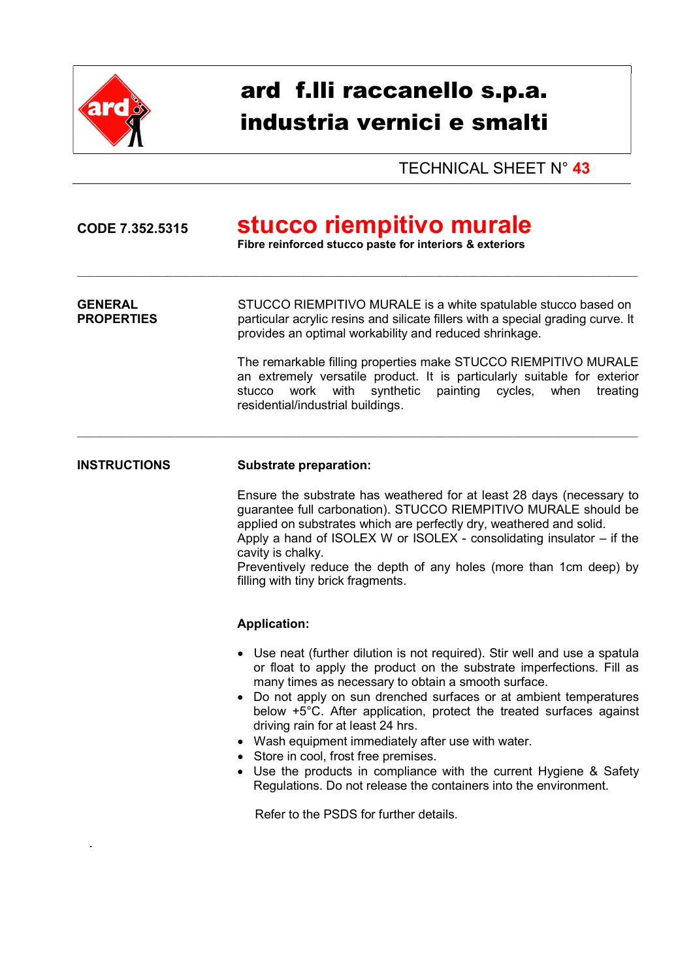

.

# ard f.lli raccanello s.p.a. industria vernici e smalti

TECHNICAL SHEET N° 43

## CODE 7.352.5315 stucco riempitivo murale

Fibre reinforced stucco paste for interiors & exteriors

GENERAL STUCCO RIEMPITIVO MURALE is a white spatulable stucco based on **PROPERTIES** particular acrylic resins and silicate fillers with a special grading curve. It provides an optimal workability and reduced shrinkage.

 $\_$  , and the state of the state of the state of the state of the state of the state of the state of the state of the state of the state of the state of the state of the state of the state of the state of the state of the

The remarkable filling properties make STUCCO RIEMPITIVO MURALE an extremely versatile product. It is particularly suitable for exterior stucco work with synthetic painting cycles, when treating residential/industrial buildings.

#### INSTRUCTIONS Substrate preparation:

Ensure the substrate has weathered for at least 28 days (necessary to guarantee full carbonation). STUCCO RIEMPITIVO MURALE should be applied on substrates which are perfectly dry, weathered and solid. Apply a hand of ISOLEX W or ISOLEX - consolidating insulator – if the cavity is chalky.

Preventively reduce the depth of any holes (more than 1cm deep) by filling with tiny brick fragments.

#### Application:

- Use neat (further dilution is not required). Stir well and use a spatula or float to apply the product on the substrate imperfections. Fill as many times as necessary to obtain a smooth surface.
- Do not apply on sun drenched surfaces or at ambient temperatures below +5°C. After application, protect the treated surfaces against driving rain for at least 24 hrs.
- Wash equipment immediately after use with water.
- Store in cool, frost free premises.
- Use the products in compliance with the current Hygiene & Safety Regulations. Do not release the containers into the environment.

Refer to the PSDS for further details.